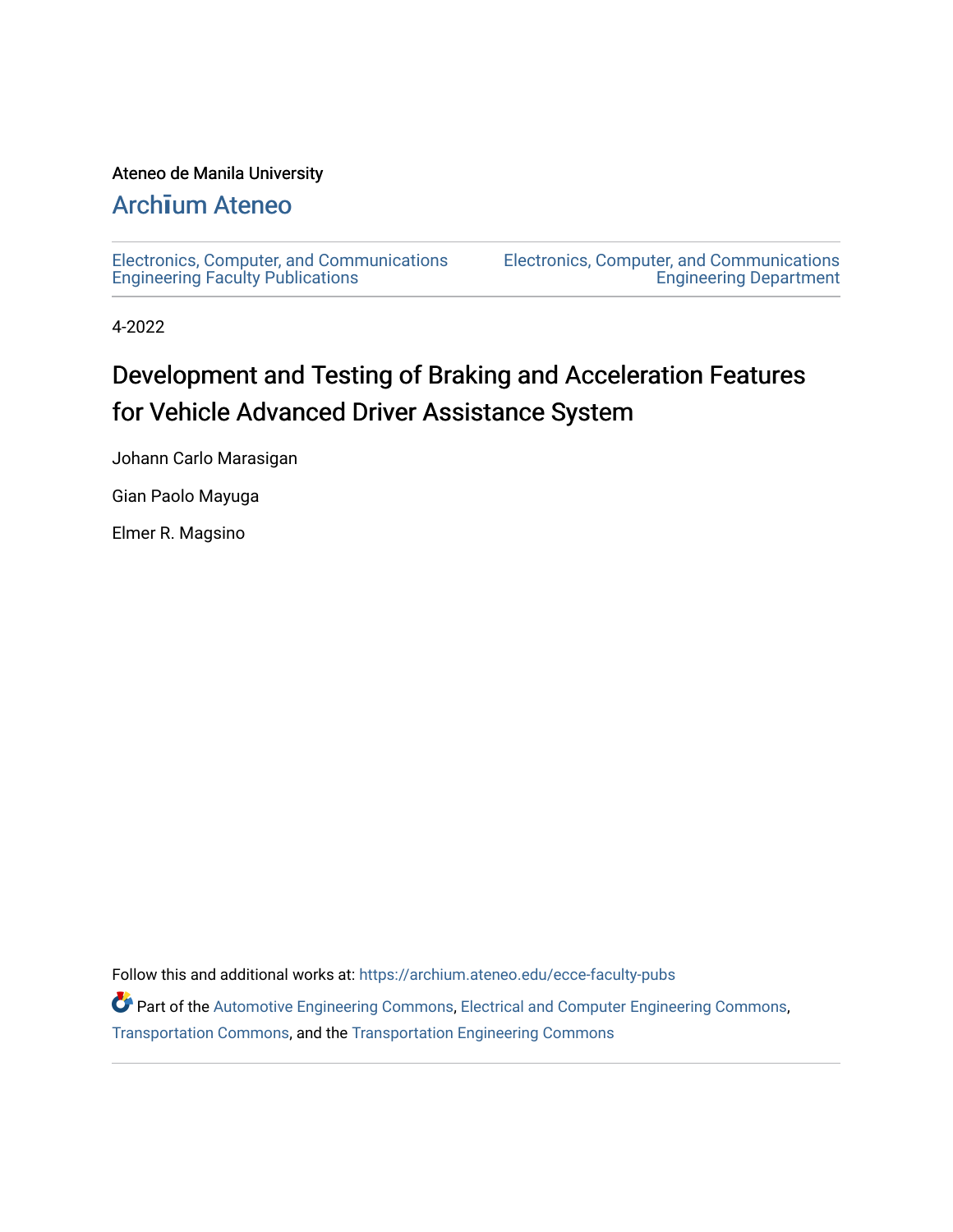### Ateneo de Manila University

# Arch**ī**[um Ateneo](https://archium.ateneo.edu/)

[Electronics, Computer, and Communications](https://archium.ateneo.edu/ecce-faculty-pubs) [Engineering Faculty Publications](https://archium.ateneo.edu/ecce-faculty-pubs) 

[Electronics, Computer, and Communications](https://archium.ateneo.edu/ecce)  [Engineering Department](https://archium.ateneo.edu/ecce) 

4-2022

# Development and Testing of Braking and Acceleration Features for Vehicle Advanced Driver Assistance System

Johann Carlo Marasigan

Gian Paolo Mayuga

Elmer R. Magsino

Follow this and additional works at: [https://archium.ateneo.edu/ecce-faculty-pubs](https://archium.ateneo.edu/ecce-faculty-pubs?utm_source=archium.ateneo.edu%2Fecce-faculty-pubs%2F96&utm_medium=PDF&utm_campaign=PDFCoverPages)

Part of the [Automotive Engineering Commons,](http://network.bepress.com/hgg/discipline/1319?utm_source=archium.ateneo.edu%2Fecce-faculty-pubs%2F96&utm_medium=PDF&utm_campaign=PDFCoverPages) [Electrical and Computer Engineering Commons,](http://network.bepress.com/hgg/discipline/266?utm_source=archium.ateneo.edu%2Fecce-faculty-pubs%2F96&utm_medium=PDF&utm_campaign=PDFCoverPages) [Transportation Commons](http://network.bepress.com/hgg/discipline/1068?utm_source=archium.ateneo.edu%2Fecce-faculty-pubs%2F96&utm_medium=PDF&utm_campaign=PDFCoverPages), and the [Transportation Engineering Commons](http://network.bepress.com/hgg/discipline/1329?utm_source=archium.ateneo.edu%2Fecce-faculty-pubs%2F96&utm_medium=PDF&utm_campaign=PDFCoverPages)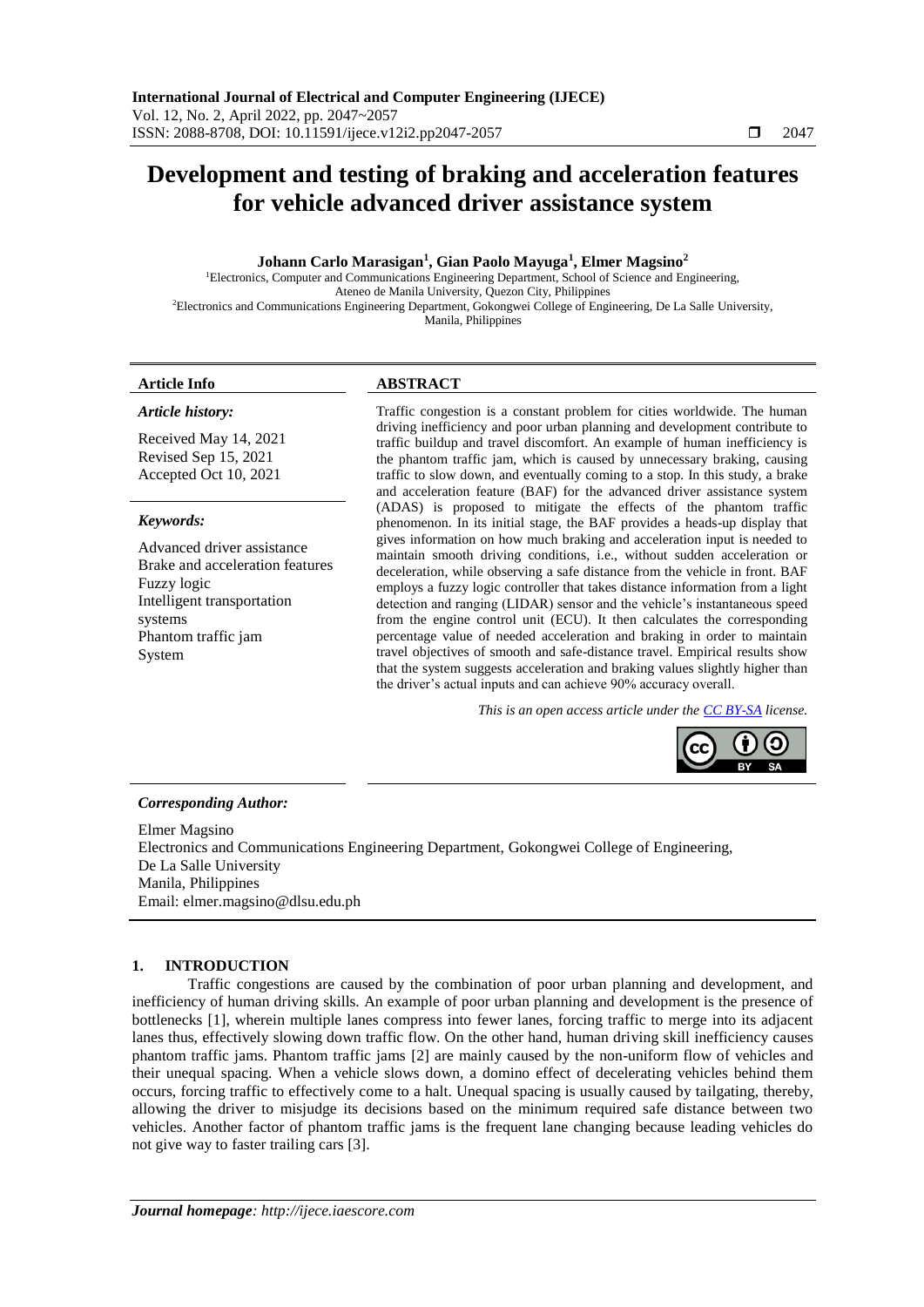## **Development and testing of braking and acceleration features for vehicle advanced driver assistance system**

#### **Johann Carlo Marasigan<sup>1</sup> , Gian Paolo Mayuga<sup>1</sup> , Elmer Magsino<sup>2</sup>**

<sup>1</sup>Electronics, Computer and Communications Engineering Department, School of Science and Engineering, Ateneo de Manila University, Quezon City, Philippines <sup>2</sup>Electronics and Communications Engineering Department, Gokongwei College of Engineering, De La Salle University, Manila, Philippines

#### *Article history:*

Received May 14, 2021 Revised Sep 15, 2021 Accepted Oct 10, 2021

#### *Keywords:*

Advanced driver assistance Brake and acceleration features Fuzzy logic Intelligent transportation systems Phantom traffic jam System

#### **Article Info ABSTRACT**

Traffic congestion is a constant problem for cities worldwide. The human driving inefficiency and poor urban planning and development contribute to traffic buildup and travel discomfort. An example of human inefficiency is the phantom traffic jam, which is caused by unnecessary braking, causing traffic to slow down, and eventually coming to a stop. In this study, a brake and acceleration feature (BAF) for the advanced driver assistance system (ADAS) is proposed to mitigate the effects of the phantom traffic phenomenon. In its initial stage, the BAF provides a heads-up display that gives information on how much braking and acceleration input is needed to maintain smooth driving conditions, i.e., without sudden acceleration or deceleration, while observing a safe distance from the vehicle in front. BAF employs a fuzzy logic controller that takes distance information from a light detection and ranging (LIDAR) sensor and the vehicle's instantaneous speed from the engine control unit (ECU). It then calculates the corresponding percentage value of needed acceleration and braking in order to maintain travel objectives of smooth and safe-distance travel. Empirical results show that the system suggests acceleration and braking values slightly higher than the driver's actual inputs and can achieve 90% accuracy overall.

*This is an open access article under the [CC BY-SA](https://creativecommons.org/licenses/by-sa/4.0/) license.*



#### *Corresponding Author:*

Elmer Magsino Electronics and Communications Engineering Department, Gokongwei College of Engineering, De La Salle University Manila, Philippines Email: elmer.magsino@dlsu.edu.ph

#### **1. INTRODUCTION**

Traffic congestions are caused by the combination of poor urban planning and development, and inefficiency of human driving skills. An example of poor urban planning and development is the presence of bottlenecks [1], wherein multiple lanes compress into fewer lanes, forcing traffic to merge into its adjacent lanes thus, effectively slowing down traffic flow. On the other hand, human driving skill inefficiency causes phantom traffic jams. Phantom traffic jams [2] are mainly caused by the non-uniform flow of vehicles and their unequal spacing. When a vehicle slows down, a domino effect of decelerating vehicles behind them occurs, forcing traffic to effectively come to a halt. Unequal spacing is usually caused by tailgating, thereby, allowing the driver to misjudge its decisions based on the minimum required safe distance between two vehicles. Another factor of phantom traffic jams is the frequent lane changing because leading vehicles do not give way to faster trailing cars [3].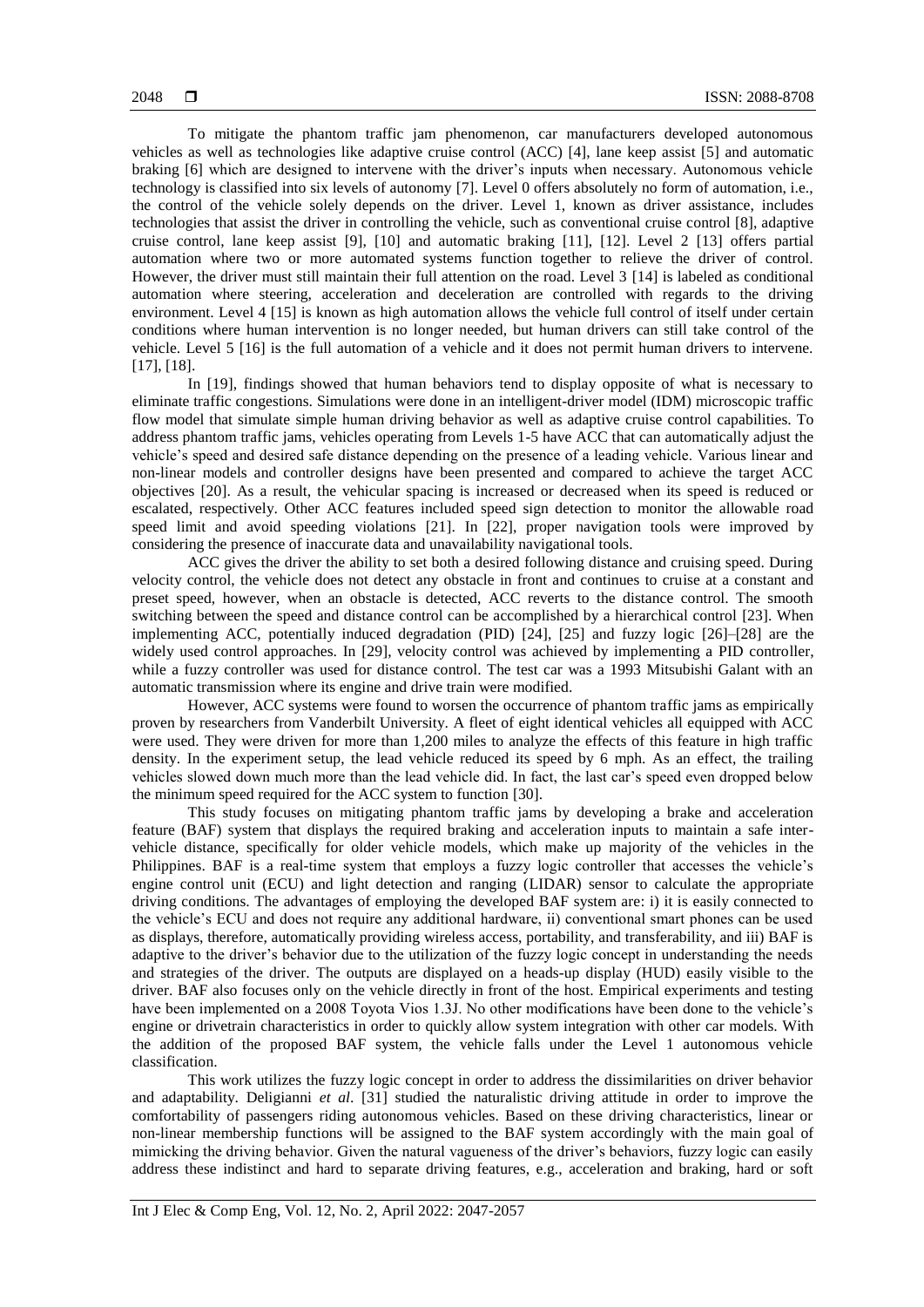To mitigate the phantom traffic jam phenomenon, car manufacturers developed autonomous vehicles as well as technologies like adaptive cruise control (ACC) [4], lane keep assist [5] and automatic braking [6] which are designed to intervene with the driver's inputs when necessary. Autonomous vehicle technology is classified into six levels of autonomy [7]. Level 0 offers absolutely no form of automation, i.e., the control of the vehicle solely depends on the driver. Level 1, known as driver assistance, includes technologies that assist the driver in controlling the vehicle, such as conventional cruise control [8], adaptive cruise control, lane keep assist [9], [10] and automatic braking [11], [12]. Level 2 [13] offers partial automation where two or more automated systems function together to relieve the driver of control. However, the driver must still maintain their full attention on the road. Level 3 [14] is labeled as conditional automation where steering, acceleration and deceleration are controlled with regards to the driving environment. Level 4 [15] is known as high automation allows the vehicle full control of itself under certain conditions where human intervention is no longer needed, but human drivers can still take control of the vehicle. Level 5 [16] is the full automation of a vehicle and it does not permit human drivers to intervene. [17], [18].

In [19], findings showed that human behaviors tend to display opposite of what is necessary to eliminate traffic congestions. Simulations were done in an intelligent-driver model (IDM) microscopic traffic flow model that simulate simple human driving behavior as well as adaptive cruise control capabilities. To address phantom traffic jams, vehicles operating from Levels 1-5 have ACC that can automatically adjust the vehicle's speed and desired safe distance depending on the presence of a leading vehicle. Various linear and non-linear models and controller designs have been presented and compared to achieve the target ACC objectives [20]. As a result, the vehicular spacing is increased or decreased when its speed is reduced or escalated, respectively. Other ACC features included speed sign detection to monitor the allowable road speed limit and avoid speeding violations [21]. In [22], proper navigation tools were improved by considering the presence of inaccurate data and unavailability navigational tools.

ACC gives the driver the ability to set both a desired following distance and cruising speed. During velocity control, the vehicle does not detect any obstacle in front and continues to cruise at a constant and preset speed, however, when an obstacle is detected, ACC reverts to the distance control. The smooth switching between the speed and distance control can be accomplished by a hierarchical control [23]. When implementing ACC, potentially induced degradation (PID) [24], [25] and fuzzy logic [26]–[28] are the widely used control approaches. In [29], velocity control was achieved by implementing a PID controller, while a fuzzy controller was used for distance control. The test car was a 1993 Mitsubishi Galant with an automatic transmission where its engine and drive train were modified.

However, ACC systems were found to worsen the occurrence of phantom traffic jams as empirically proven by researchers from Vanderbilt University. A fleet of eight identical vehicles all equipped with ACC were used. They were driven for more than 1,200 miles to analyze the effects of this feature in high traffic density. In the experiment setup, the lead vehicle reduced its speed by 6 mph. As an effect, the trailing vehicles slowed down much more than the lead vehicle did. In fact, the last car's speed even dropped below the minimum speed required for the ACC system to function [30].

This study focuses on mitigating phantom traffic jams by developing a brake and acceleration feature (BAF) system that displays the required braking and acceleration inputs to maintain a safe intervehicle distance, specifically for older vehicle models, which make up majority of the vehicles in the Philippines. BAF is a real-time system that employs a fuzzy logic controller that accesses the vehicle's engine control unit (ECU) and light detection and ranging (LIDAR) sensor to calculate the appropriate driving conditions. The advantages of employing the developed BAF system are: i) it is easily connected to the vehicle's ECU and does not require any additional hardware, ii) conventional smart phones can be used as displays, therefore, automatically providing wireless access, portability, and transferability, and iii) BAF is adaptive to the driver's behavior due to the utilization of the fuzzy logic concept in understanding the needs and strategies of the driver. The outputs are displayed on a heads-up display (HUD) easily visible to the driver. BAF also focuses only on the vehicle directly in front of the host. Empirical experiments and testing have been implemented on a 2008 Toyota Vios 1.3J. No other modifications have been done to the vehicle's engine or drivetrain characteristics in order to quickly allow system integration with other car models. With the addition of the proposed BAF system, the vehicle falls under the Level 1 autonomous vehicle classification.

This work utilizes the fuzzy logic concept in order to address the dissimilarities on driver behavior and adaptability. Deligianni *et al*. [31] studied the naturalistic driving attitude in order to improve the comfortability of passengers riding autonomous vehicles. Based on these driving characteristics, linear or non-linear membership functions will be assigned to the BAF system accordingly with the main goal of mimicking the driving behavior. Given the natural vagueness of the driver's behaviors, fuzzy logic can easily address these indistinct and hard to separate driving features, e.g., acceleration and braking, hard or soft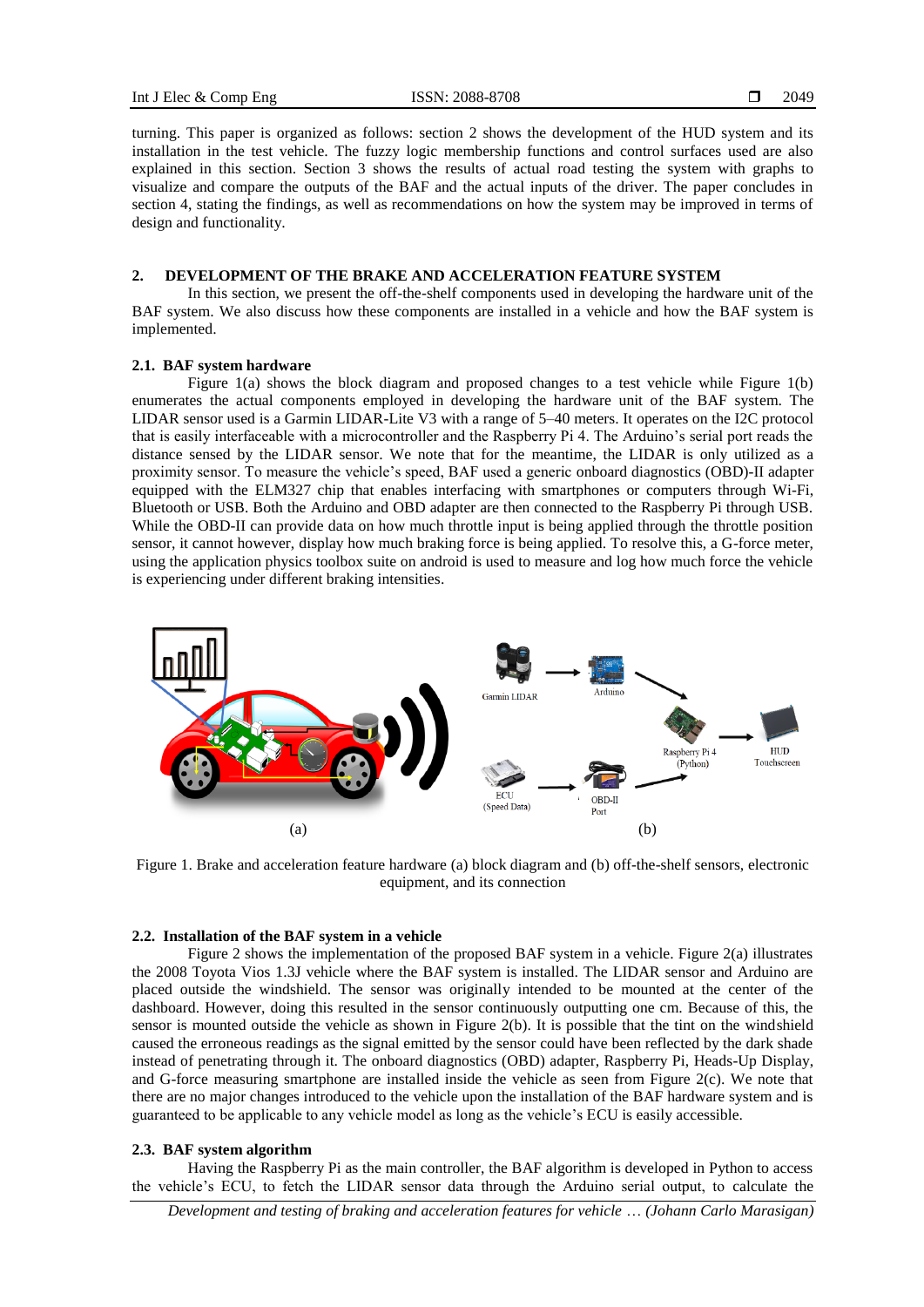turning. This paper is organized as follows: section 2 shows the development of the HUD system and its installation in the test vehicle. The fuzzy logic membership functions and control surfaces used are also explained in this section. Section 3 shows the results of actual road testing the system with graphs to visualize and compare the outputs of the BAF and the actual inputs of the driver. The paper concludes in section 4, stating the findings, as well as recommendations on how the system may be improved in terms of design and functionality.

#### **2. DEVELOPMENT OF THE BRAKE AND ACCELERATION FEATURE SYSTEM**

In this section, we present the off-the-shelf components used in developing the hardware unit of the BAF system. We also discuss how these components are installed in a vehicle and how the BAF system is implemented.

#### **2.1. BAF system hardware**

Figure 1(a) shows the block diagram and proposed changes to a test vehicle while Figure 1(b) enumerates the actual components employed in developing the hardware unit of the BAF system. The LIDAR sensor used is a Garmin LIDAR-Lite V3 with a range of 5–40 meters. It operates on the I2C protocol that is easily interfaceable with a microcontroller and the Raspberry Pi 4. The Arduino's serial port reads the distance sensed by the LIDAR sensor. We note that for the meantime, the LIDAR is only utilized as a proximity sensor. To measure the vehicle's speed, BAF used a generic onboard diagnostics (OBD)-II adapter equipped with the ELM327 chip that enables interfacing with smartphones or computers through Wi-Fi, Bluetooth or USB. Both the Arduino and OBD adapter are then connected to the Raspberry Pi through USB. While the OBD-II can provide data on how much throttle input is being applied through the throttle position sensor, it cannot however, display how much braking force is being applied. To resolve this, a G-force meter, using the application physics toolbox suite on android is used to measure and log how much force the vehicle is experiencing under different braking intensities.



Figure 1. Brake and acceleration feature hardware (a) block diagram and (b) off-the-shelf sensors, electronic equipment, and its connection

#### **2.2. Installation of the BAF system in a vehicle**

Figure 2 shows the implementation of the proposed BAF system in a vehicle. Figure 2(a) illustrates the 2008 Toyota Vios 1.3J vehicle where the BAF system is installed. The LIDAR sensor and Arduino are placed outside the windshield. The sensor was originally intended to be mounted at the center of the dashboard. However, doing this resulted in the sensor continuously outputting one cm. Because of this, the sensor is mounted outside the vehicle as shown in Figure 2(b). It is possible that the tint on the windshield caused the erroneous readings as the signal emitted by the sensor could have been reflected by the dark shade instead of penetrating through it. The onboard diagnostics (OBD) adapter, Raspberry Pi, Heads-Up Display, and G-force measuring smartphone are installed inside the vehicle as seen from Figure 2(c). We note that there are no major changes introduced to the vehicle upon the installation of the BAF hardware system and is guaranteed to be applicable to any vehicle model as long as the vehicle's ECU is easily accessible.

#### **2.3. BAF system algorithm**

Having the Raspberry Pi as the main controller, the BAF algorithm is developed in Python to access the vehicle's ECU, to fetch the LIDAR sensor data through the Arduino serial output, to calculate the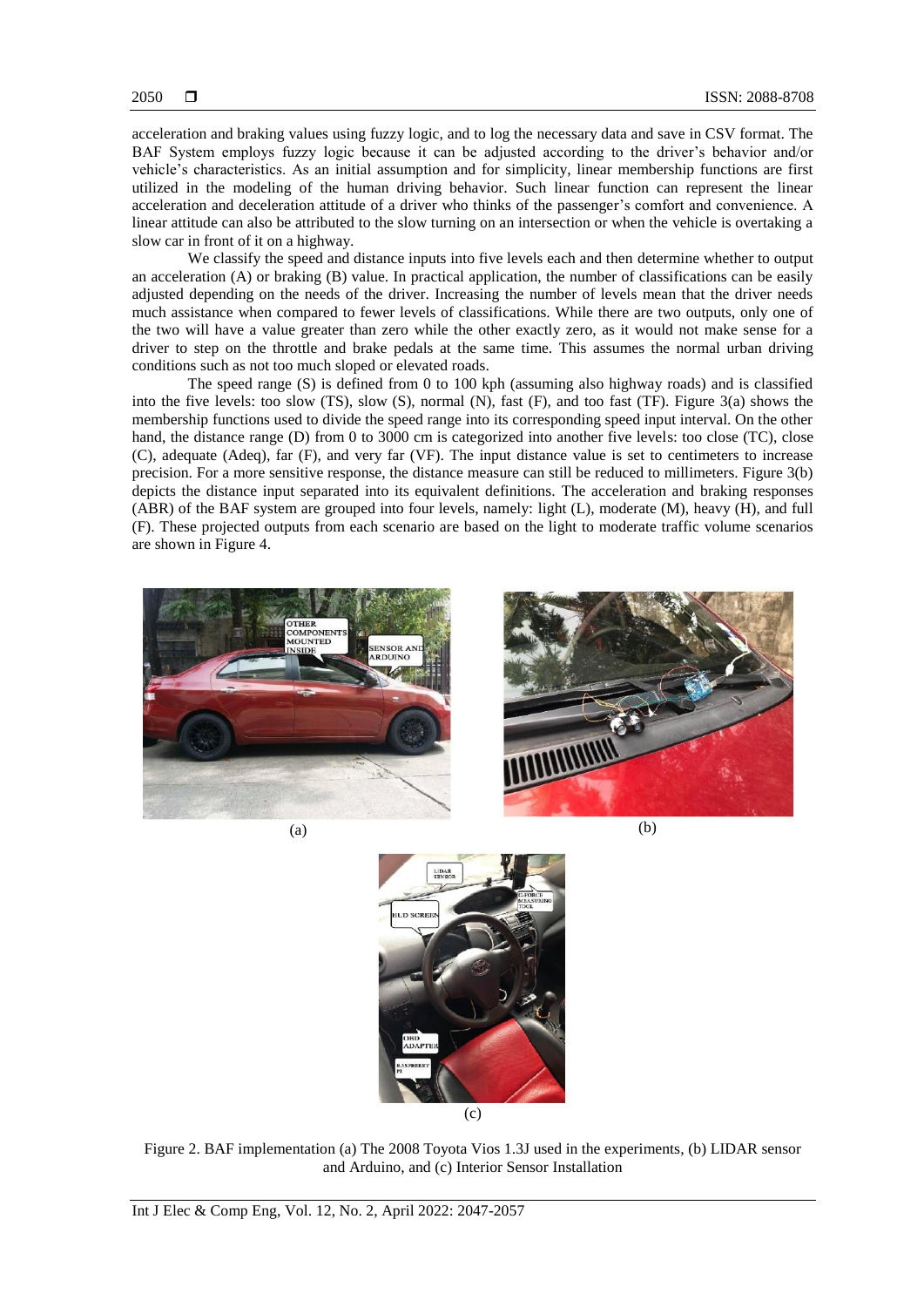acceleration and braking values using fuzzy logic, and to log the necessary data and save in CSV format. The BAF System employs fuzzy logic because it can be adjusted according to the driver's behavior and/or vehicle's characteristics. As an initial assumption and for simplicity, linear membership functions are first utilized in the modeling of the human driving behavior. Such linear function can represent the linear acceleration and deceleration attitude of a driver who thinks of the passenger's comfort and convenience. A linear attitude can also be attributed to the slow turning on an intersection or when the vehicle is overtaking a slow car in front of it on a highway.

We classify the speed and distance inputs into five levels each and then determine whether to output an acceleration (A) or braking (B) value. In practical application, the number of classifications can be easily adjusted depending on the needs of the driver. Increasing the number of levels mean that the driver needs much assistance when compared to fewer levels of classifications. While there are two outputs, only one of the two will have a value greater than zero while the other exactly zero, as it would not make sense for a driver to step on the throttle and brake pedals at the same time. This assumes the normal urban driving conditions such as not too much sloped or elevated roads.

The speed range (S) is defined from 0 to 100 kph (assuming also highway roads) and is classified into the five levels: too slow (TS), slow (S), normal (N), fast (F), and too fast (TF). Figure 3(a) shows the membership functions used to divide the speed range into its corresponding speed input interval. On the other hand, the distance range (D) from 0 to 3000 cm is categorized into another five levels: too close (TC), close (C), adequate (Adeq), far (F), and very far (VF). The input distance value is set to centimeters to increase precision. For a more sensitive response, the distance measure can still be reduced to millimeters. Figure 3(b) depicts the distance input separated into its equivalent definitions. The acceleration and braking responses (ABR) of the BAF system are grouped into four levels, namely: light (L), moderate (M), heavy (H), and full (F). These projected outputs from each scenario are based on the light to moderate traffic volume scenarios are shown in Figure 4.









Figure 2. BAF implementation (a) The 2008 Toyota Vios 1.3J used in the experiments, (b) LIDAR sensor and Arduino, and (c) Interior Sensor Installation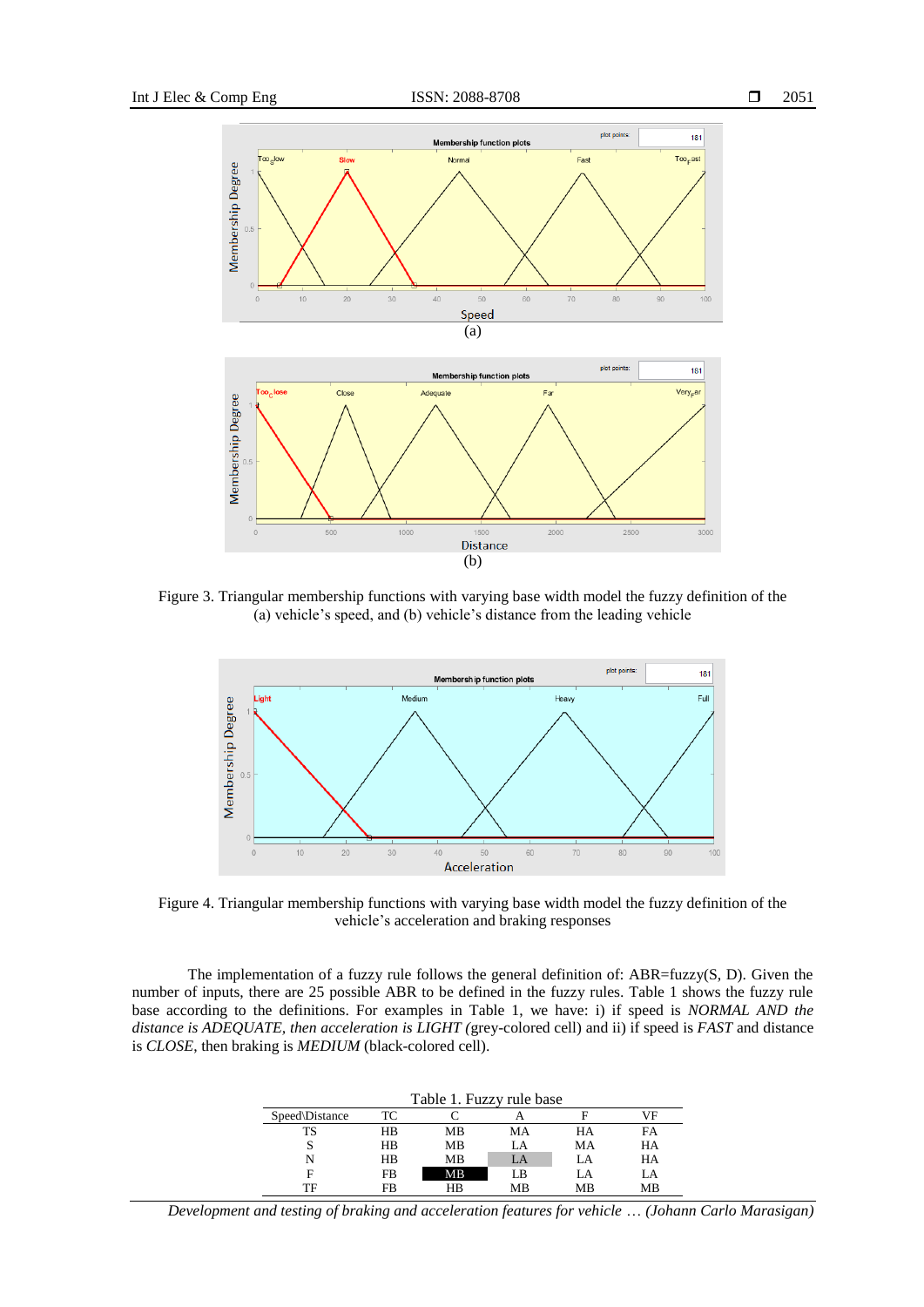



Figure 3. Triangular membership functions with varying base width model the fuzzy definition of the (a) vehicle's speed, and (b) vehicle's distance from the leading vehicle



Figure 4. Triangular membership functions with varying base width model the fuzzy definition of the vehicle's acceleration and braking responses

The implementation of a fuzzy rule follows the general definition of: ABR=fuzzy(S, D). Given the number of inputs, there are 25 possible ABR to be defined in the fuzzy rules. Table 1 shows the fuzzy rule base according to the definitions. For examples in Table 1, we have: i) if speed is *NORMAL AND the distance is ADEQUATE, then acceleration is LIGHT (*grey-colored cell) and ii) if speed is *FAST* and distance is *CLOSE*, then braking is *MEDIUM* (black-colored cell).

| Table 1. Fuzzy rule base |           |    |    |    |    |
|--------------------------|-----------|----|----|----|----|
| Speed\Distance           | TC.       |    |    |    | νF |
| TS                       | HR        | MB | MA | HA | FA |
|                          | HR        | MB | LA | MA | HA |
| N                        | HB        | MВ | LA | _A | HA |
| F                        | <b>FB</b> | MВ | LB | LA | LA |
| TF                       | FB        | ΗR | MВ | MВ | МB |

*Development and testing of braking and acceleration features for vehicle* … *(Johann Carlo Marasigan)*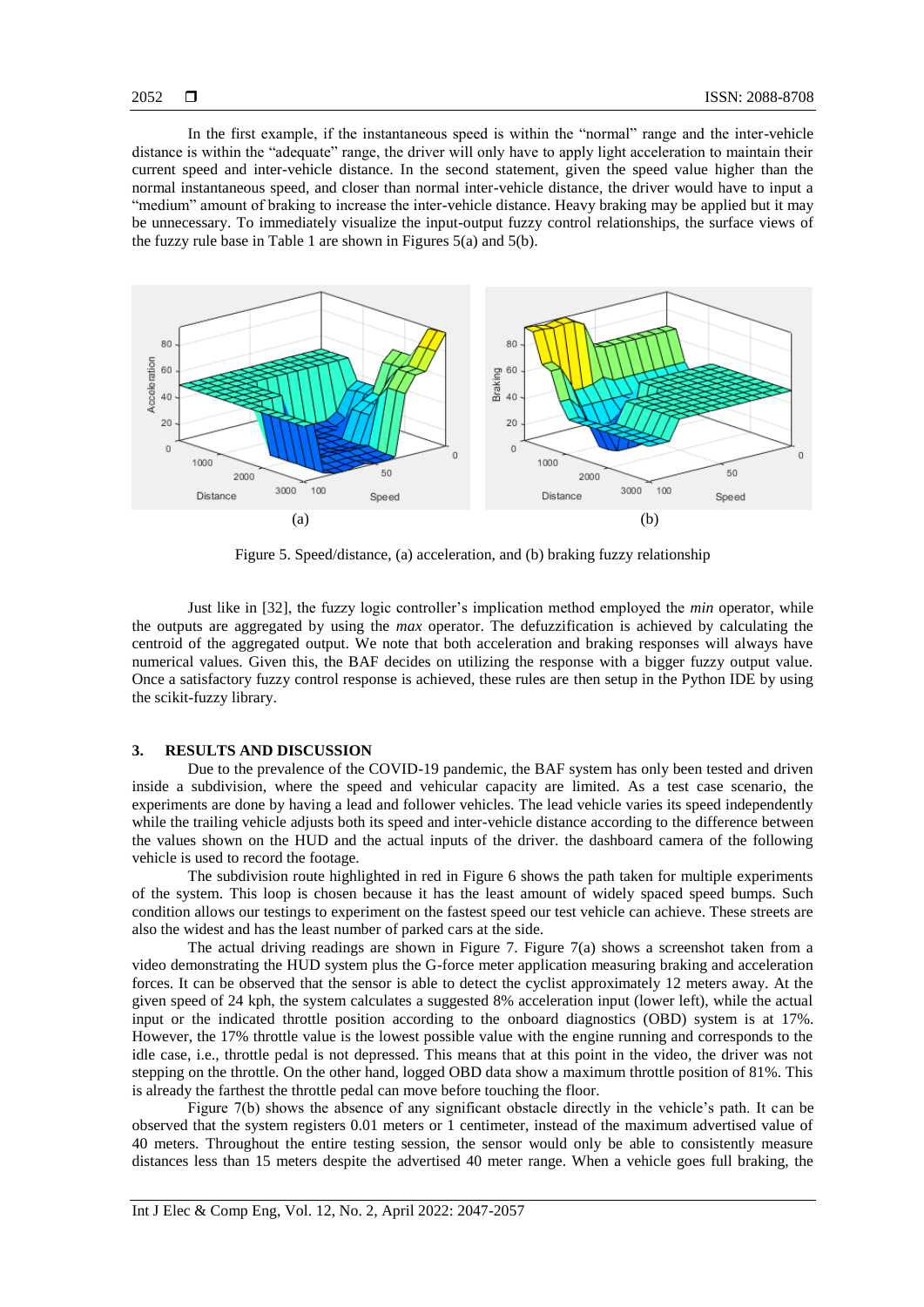In the first example, if the instantaneous speed is within the "normal" range and the inter-vehicle distance is within the "adequate" range, the driver will only have to apply light acceleration to maintain their current speed and inter-vehicle distance. In the second statement, given the speed value higher than the normal instantaneous speed, and closer than normal inter-vehicle distance, the driver would have to input a "medium" amount of braking to increase the inter-vehicle distance. Heavy braking may be applied but it may be unnecessary. To immediately visualize the input-output fuzzy control relationships, the surface views of the fuzzy rule base in Table 1 are shown in Figures  $5(a)$  and  $5(b)$ .



Figure 5. Speed/distance, (a) acceleration, and (b) braking fuzzy relationship

Just like in [32], the fuzzy logic controller's implication method employed the *min* operator, while the outputs are aggregated by using the *max* operator. The defuzzification is achieved by calculating the centroid of the aggregated output. We note that both acceleration and braking responses will always have numerical values. Given this, the BAF decides on utilizing the response with a bigger fuzzy output value. Once a satisfactory fuzzy control response is achieved, these rules are then setup in the Python IDE by using the scikit-fuzzy library.

#### **3. RESULTS AND DISCUSSION**

Due to the prevalence of the COVID-19 pandemic, the BAF system has only been tested and driven inside a subdivision, where the speed and vehicular capacity are limited. As a test case scenario, the experiments are done by having a lead and follower vehicles. The lead vehicle varies its speed independently while the trailing vehicle adjusts both its speed and inter-vehicle distance according to the difference between the values shown on the HUD and the actual inputs of the driver. the dashboard camera of the following vehicle is used to record the footage.

The subdivision route highlighted in red in Figure 6 shows the path taken for multiple experiments of the system. This loop is chosen because it has the least amount of widely spaced speed bumps. Such condition allows our testings to experiment on the fastest speed our test vehicle can achieve. These streets are also the widest and has the least number of parked cars at the side.

The actual driving readings are shown in Figure 7. Figure  $7(a)$  shows a screenshot taken from a video demonstrating the HUD system plus the G-force meter application measuring braking and acceleration forces. It can be observed that the sensor is able to detect the cyclist approximately 12 meters away. At the given speed of 24 kph, the system calculates a suggested 8% acceleration input (lower left), while the actual input or the indicated throttle position according to the onboard diagnostics (OBD) system is at 17%. However, the 17% throttle value is the lowest possible value with the engine running and corresponds to the idle case, i.e., throttle pedal is not depressed. This means that at this point in the video, the driver was not stepping on the throttle. On the other hand, logged OBD data show a maximum throttle position of 81%. This is already the farthest the throttle pedal can move before touching the floor.

Figure 7(b) shows the absence of any significant obstacle directly in the vehicle's path. It can be observed that the system registers 0.01 meters or 1 centimeter, instead of the maximum advertised value of 40 meters. Throughout the entire testing session, the sensor would only be able to consistently measure distances less than 15 meters despite the advertised 40 meter range. When a vehicle goes full braking, the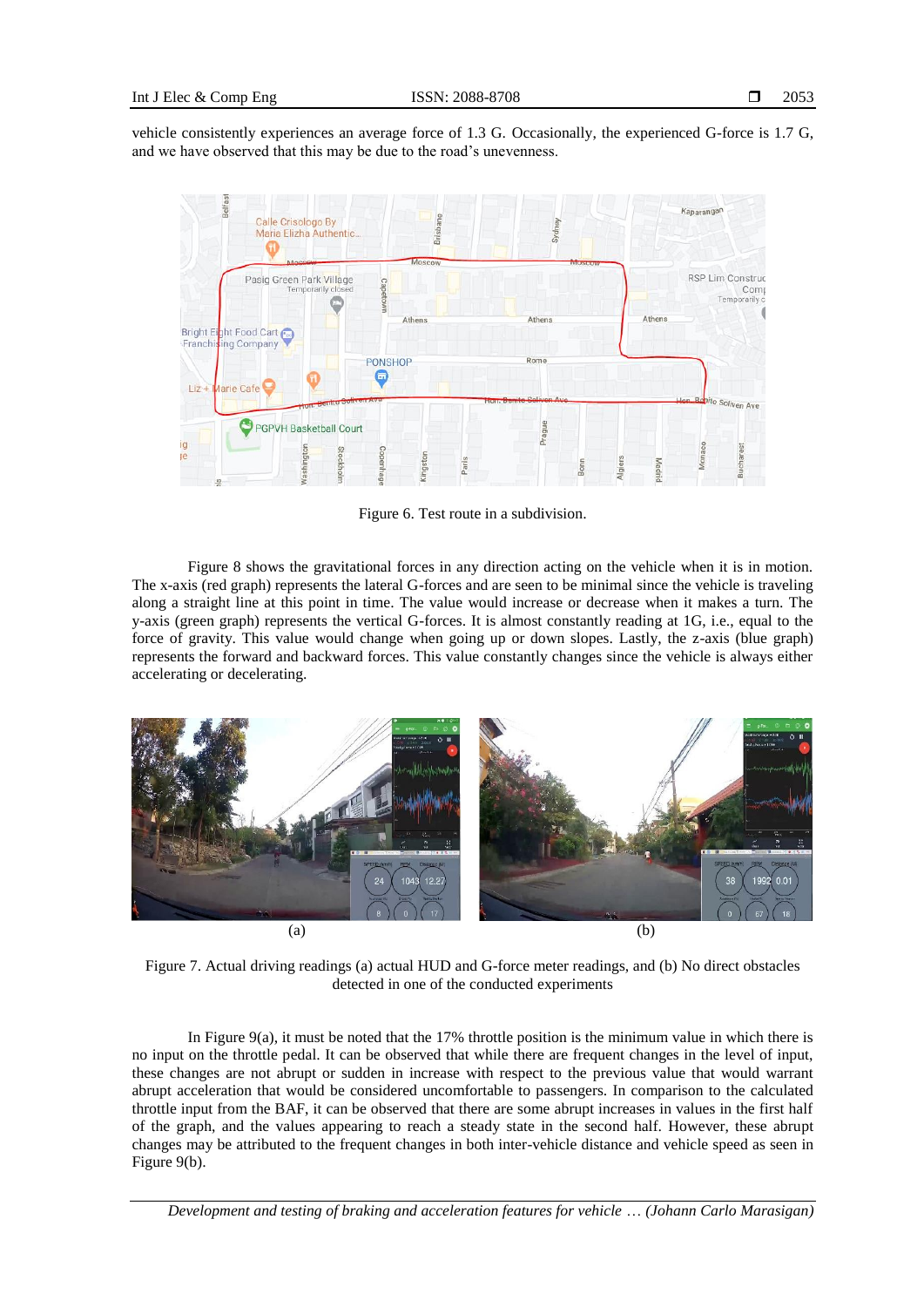vehicle consistently experiences an average force of 1.3 G. Occasionally, the experienced G-force is 1.7 G, and we have observed that this may be due to the road's unevenness.



Figure 6. Test route in a subdivision.

Figure 8 shows the gravitational forces in any direction acting on the vehicle when it is in motion. The x-axis (red graph) represents the lateral G-forces and are seen to be minimal since the vehicle is traveling along a straight line at this point in time. The value would increase or decrease when it makes a turn. The y-axis (green graph) represents the vertical G-forces. It is almost constantly reading at 1G, i.e., equal to the force of gravity. This value would change when going up or down slopes. Lastly, the z-axis (blue graph) represents the forward and backward forces. This value constantly changes since the vehicle is always either accelerating or decelerating.



Figure 7. Actual driving readings (a) actual HUD and G-force meter readings, and (b) No direct obstacles detected in one of the conducted experiments

In Figure 9(a), it must be noted that the 17% throttle position is the minimum value in which there is no input on the throttle pedal. It can be observed that while there are frequent changes in the level of input, these changes are not abrupt or sudden in increase with respect to the previous value that would warrant abrupt acceleration that would be considered uncomfortable to passengers. In comparison to the calculated throttle input from the BAF, it can be observed that there are some abrupt increases in values in the first half of the graph, and the values appearing to reach a steady state in the second half. However, these abrupt changes may be attributed to the frequent changes in both inter-vehicle distance and vehicle speed as seen in Figure 9(b).

*Development and testing of braking and acceleration features for vehicle* … *(Johann Carlo Marasigan)*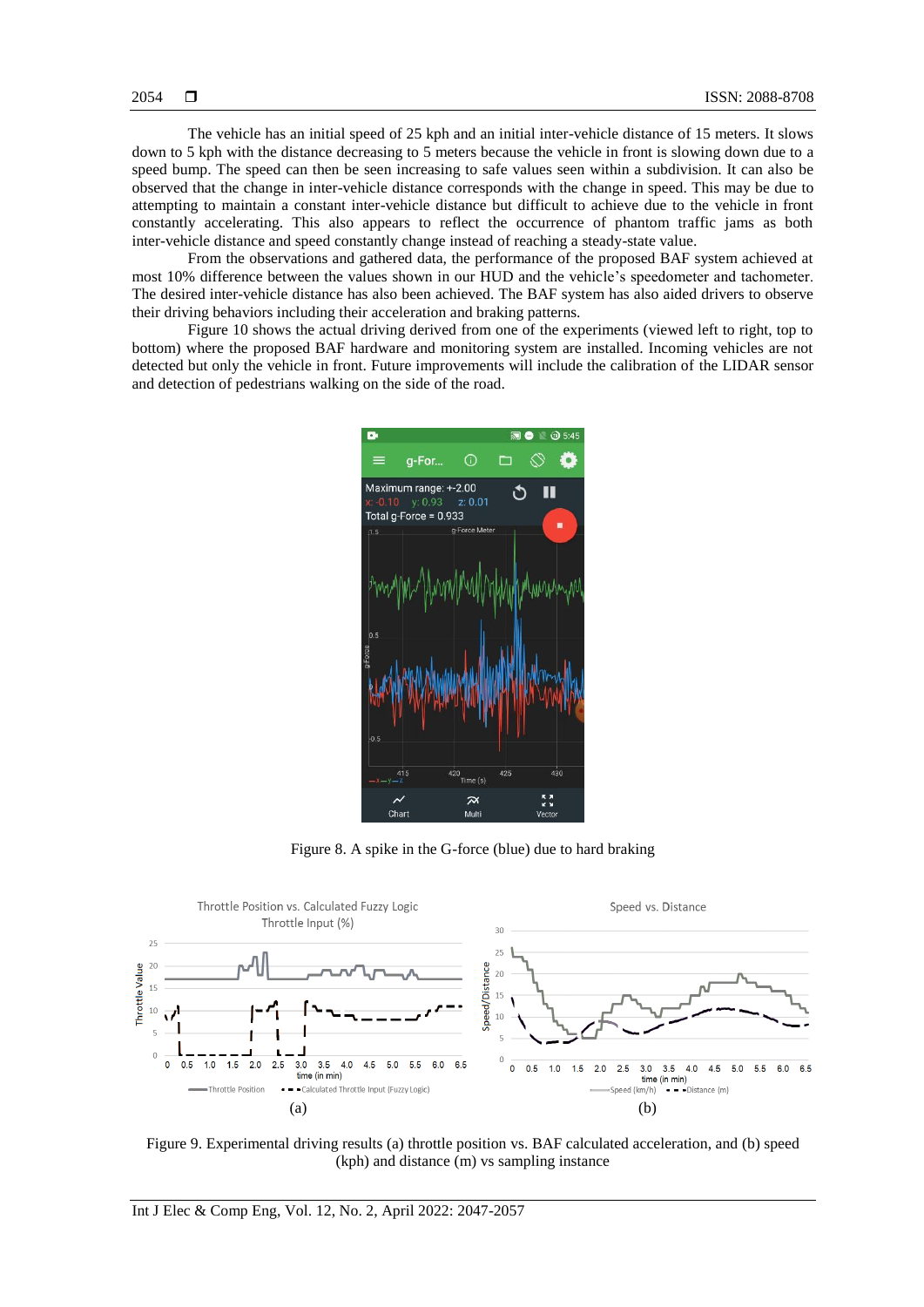The vehicle has an initial speed of 25 kph and an initial inter-vehicle distance of 15 meters. It slows down to 5 kph with the distance decreasing to 5 meters because the vehicle in front is slowing down due to a speed bump. The speed can then be seen increasing to safe values seen within a subdivision. It can also be observed that the change in inter-vehicle distance corresponds with the change in speed. This may be due to attempting to maintain a constant inter-vehicle distance but difficult to achieve due to the vehicle in front constantly accelerating. This also appears to reflect the occurrence of phantom traffic jams as both inter-vehicle distance and speed constantly change instead of reaching a steady-state value.

From the observations and gathered data, the performance of the proposed BAF system achieved at most 10% difference between the values shown in our HUD and the vehicle's speedometer and tachometer. The desired inter-vehicle distance has also been achieved. The BAF system has also aided drivers to observe their driving behaviors including their acceleration and braking patterns.

Figure 10 shows the actual driving derived from one of the experiments (viewed left to right, top to bottom) where the proposed BAF hardware and monitoring system are installed. Incoming vehicles are not detected but only the vehicle in front. Future improvements will include the calibration of the LIDAR sensor and detection of pedestrians walking on the side of the road.



Figure 8. A spike in the G-force (blue) due to hard braking



Figure 9. Experimental driving results (a) throttle position vs. BAF calculated acceleration, and (b) speed (kph) and distance (m) vs sampling instance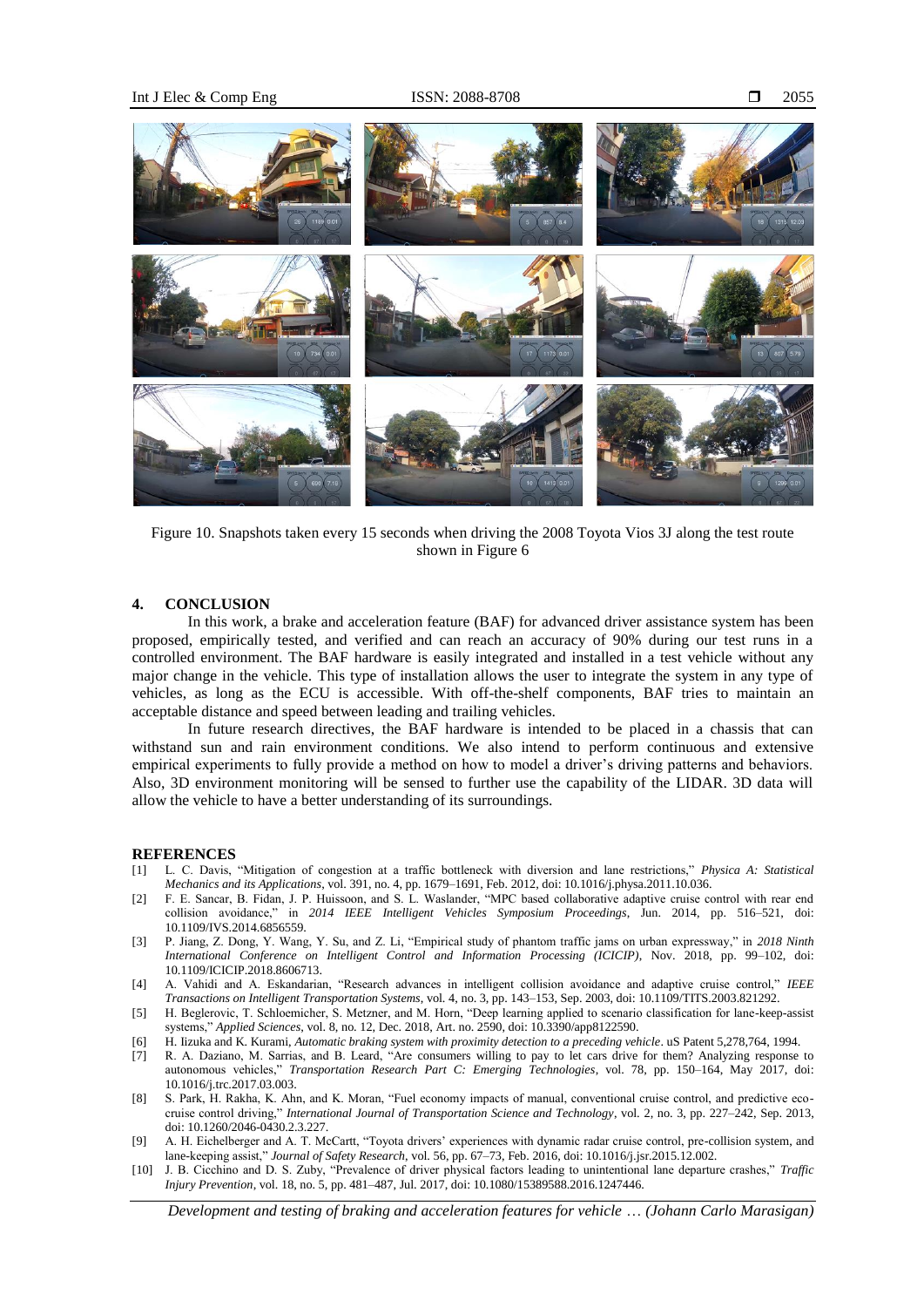

Figure 10. Snapshots taken every 15 seconds when driving the 2008 Toyota Vios 3J along the test route shown in Figure 6

#### **4. CONCLUSION**

In this work, a brake and acceleration feature (BAF) for advanced driver assistance system has been proposed, empirically tested, and verified and can reach an accuracy of 90% during our test runs in a controlled environment. The BAF hardware is easily integrated and installed in a test vehicle without any major change in the vehicle. This type of installation allows the user to integrate the system in any type of vehicles, as long as the ECU is accessible. With off-the-shelf components, BAF tries to maintain an acceptable distance and speed between leading and trailing vehicles.

In future research directives, the BAF hardware is intended to be placed in a chassis that can withstand sun and rain environment conditions. We also intend to perform continuous and extensive empirical experiments to fully provide a method on how to model a driver's driving patterns and behaviors. Also, 3D environment monitoring will be sensed to further use the capability of the LIDAR. 3D data will allow the vehicle to have a better understanding of its surroundings.

#### **REFERENCES**

- [1] L. C. Davis, "Mitigation of congestion at a traffic bottleneck with diversion and lane restrictions," *Physica A: Statistical Mechanics and its Applications*, vol. 391, no. 4, pp. 1679–1691, Feb. 2012, doi: 10.1016/j.physa.2011.10.036.
- [2] F. E. Sancar, B. Fidan, J. P. Huissoon, and S. L. Waslander, "MPC based collaborative adaptive cruise control with rear end collision avoidance," in *2014 IEEE Intelligent Vehicles Symposium Proceedings*, Jun. 2014, pp. 516–521, doi: 10.1109/IVS.2014.6856559.
- [3] P. Jiang, Z. Dong, Y. Wang, Y. Su, and Z. Li, "Empirical study of phantom traffic jams on urban expressway," in *2018 Ninth International Conference on Intelligent Control and Information Processing (ICICIP)*, Nov. 2018, pp. 99–102, doi: 10.1109/ICICIP.2018.8606713.
- [4] A. Vahidi and A. Eskandarian, "Research advances in intelligent collision avoidance and adaptive cruise control," *IEEE Transactions on Intelligent Transportation Systems*, vol. 4, no. 3, pp. 143–153, Sep. 2003, doi: 10.1109/TITS.2003.821292.
- [5] H. Beglerovic, T. Schloemicher, S. Metzner, and M. Horn, "Deep learning applied to scenario classification for lane-keep-assist systems," *Applied Sciences*, vol. 8, no. 12, Dec. 2018, Art. no. 2590, doi: 10.3390/app8122590.
- [6] H. Iizuka and K. Kurami, *Automatic braking system with proximity detection to a preceding vehicle*. uS Patent 5,278,764, 1994.
- [7] R. A. Daziano, M. Sarrias, and B. Leard, "Are consumers willing to pay to let cars drive for them? Analyzing response to autonomous vehicles," *Transportation Research Part C: Emerging Technologies*, vol. 78, pp. 150–164, May 2017, doi: 10.1016/j.trc.2017.03.003.
- [8] S. Park, H. Rakha, K. Ahn, and K. Moran, "Fuel economy impacts of manual, conventional cruise control, and predictive ecocruise control driving," *International Journal of Transportation Science and Technology*, vol. 2, no. 3, pp. 227–242, Sep. 2013, doi: 10.1260/2046-0430.2.3.227.
- [9] A. H. Eichelberger and A. T. McCartt, "Toyota drivers' experiences with dynamic radar cruise control, pre-collision system, and lane-keeping assist," *Journal of Safety Research*, vol. 56, pp. 67–73, Feb. 2016, doi: 10.1016/j.jsr.2015.12.002.
- [10] J. B. Cicchino and D. S. Zuby, "Prevalence of driver physical factors leading to unintentional lane departure crashes," *Traffic Injury Prevention*, vol. 18, no. 5, pp. 481–487, Jul. 2017, doi: 10.1080/15389588.2016.1247446.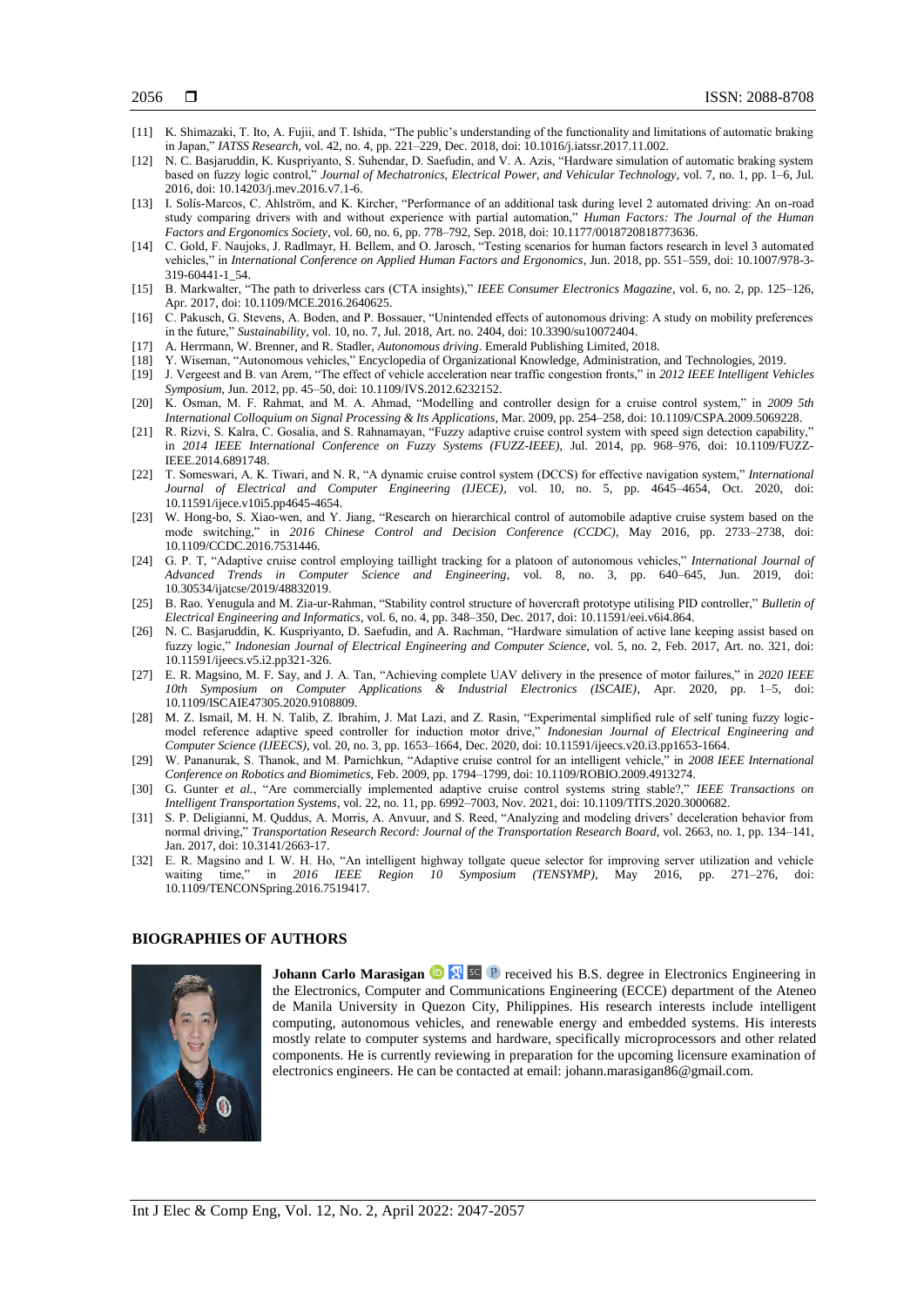- [11] K. Shimazaki, T. Ito, A. Fujii, and T. Ishida, "The public's understanding of the functionality and limitations of automatic braking in Japan," *IATSS Research*, vol. 42, no. 4, pp. 221–229, Dec. 2018, doi: 10.1016/j.iatssr.2017.11.002.
- [12] N. C. Basjaruddin, K. Kuspriyanto, S. Suhendar, D. Saefudin, and V. A. Azis, "Hardware simulation of automatic braking system based on fuzzy logic control," *Journal of Mechatronics, Electrical Power, and Vehicular Technology*, vol. 7, no. 1, pp. 1–6, Jul. 2016, doi: 10.14203/j.mev.2016.v7.1-6.
- [13] I. Solís-Marcos, C. Ahlström, and K. Kircher, "Performance of an additional task during level 2 automated driving: An on-road study comparing drivers with and without experience with partial automation," *Human Factors: The Journal of the Human Factors and Ergonomics Society*, vol. 60, no. 6, pp. 778–792, Sep. 2018, doi: 10.1177/0018720818773636.
- [14] C. Gold, F. Naujoks, J. Radlmayr, H. Bellem, and O. Jarosch, "Testing scenarios for human factors research in level 3 automated vehicles," in *International Conference on Applied Human Factors and Ergonomics*, Jun. 2018, pp. 551–559, doi: 10.1007/978-3- 319-60441-1\_54.
- [15] B. Markwalter, "The path to driverless cars (CTA insights)," *IEEE Consumer Electronics Magazine*, vol. 6, no. 2, pp. 125–126, Apr. 2017, doi: 10.1109/MCE.2016.2640625.
- [16] C. Pakusch, G. Stevens, A. Boden, and P. Bossauer, "Unintended effects of autonomous driving: A study on mobility preferences in the future," *Sustainability*, vol. 10, no. 7, Jul. 2018, Art. no. 2404, doi: 10.3390/su10072404.
- [17] A. Herrmann, W. Brenner, and R. Stadler, *Autonomous driving*. Emerald Publishing Limited, 2018.
- [18] Y. Wiseman, "Autonomous vehicles," Encyclopedia of Organizational Knowledge, Administration, and Technologies, 2019.
- [19] J. Vergeest and B. van Arem, "The effect of vehicle acceleration near traffic congestion fronts," in *2012 IEEE Intelligent Vehicles Symposium*, Jun. 2012, pp. 45–50, doi: 10.1109/IVS.2012.6232152.
- [20] K. Osman, M. F. Rahmat, and M. A. Ahmad, "Modelling and controller design for a cruise control system," in *2009 5th International Colloquium on Signal Processing & Its Applications*, Mar. 2009, pp. 254–258, doi: 10.1109/CSPA.2009.5069228.
- [21] R. Rizvi, S. Kalra, C. Gosalia, and S. Rahnamayan, "Fuzzy adaptive cruise control system with speed sign detection capability," in *2014 IEEE International Conference on Fuzzy Systems (FUZZ-IEEE)*, Jul. 2014, pp. 968–976, doi: 10.1109/FUZZ-IEEE.2014.6891748.
- [22] T. Someswari, A. K. Tiwari, and N. R, "A dynamic cruise control system (DCCS) for effective navigation system," *International Journal of Electrical and Computer Engineering (IJECE)*, vol. 10, no. 5, pp. 4645–4654, Oct. 2020, doi: 10.11591/ijece.v10i5.pp4645-4654.
- [23] W. Hong-bo, S. Xiao-wen, and Y. Jiang, "Research on hierarchical control of automobile adaptive cruise system based on the mode switching," in *2016 Chinese Control and Decision Conference (CCDC)*, May 2016, pp. 2733–2738, doi: 10.1109/CCDC.2016.7531446.
- [24] G. P. T, "Adaptive cruise control employing taillight tracking for a platoon of autonomous vehicles," *International Journal of Advanced Trends in Computer Science and Engineering*, vol. 8, no. 3, pp. 640–645, Jun. 2019, doi: 10.30534/ijatcse/2019/48832019.
- [25] B. Rao. Yenugula and M. Zia-ur-Rahman, "Stability control structure of hovercraft prototype utilising PID controller," *Bulletin of Electrical Engineering and Informatics*, vol. 6, no. 4, pp. 348–350, Dec. 2017, doi: 10.11591/eei.v6i4.864.
- [26] N. C. Basjaruddin, K. Kuspriyanto, D. Saefudin, and A. Rachman, "Hardware simulation of active lane keeping assist based on fuzzy logic," *Indonesian Journal of Electrical Engineering and Computer Science*, vol. 5, no. 2, Feb. 2017, Art. no. 321, doi: 10.11591/ijeecs.v5.i2.pp321-326.
- [27] E. R. Magsino, M. F. Say, and J. A. Tan, "Achieving complete UAV delivery in the presence of motor failures," in *2020 IEEE 10th Symposium on Computer Applications & Industrial Electronics (ISCAIE)*, Apr. 2020, pp. 1–5, doi: 10.1109/ISCAIE47305.2020.9108809.
- [28] M. Z. Ismail, M. H. N. Talib, Z. Ibrahim, J. Mat Lazi, and Z. Rasin, "Experimental simplified rule of self tuning fuzzy logicmodel reference adaptive speed controller for induction motor drive," *Indonesian Journal of Electrical Engineering and Computer Science (IJEECS)*, vol. 20, no. 3, pp. 1653–1664, Dec. 2020, doi: 10.11591/ijeecs.v20.i3.pp1653-1664.
- [29] W. Pananurak, S. Thanok, and M. Parnichkun, "Adaptive cruise control for an intelligent vehicle," in *2008 IEEE International Conference on Robotics and Biomimetics*, Feb. 2009, pp. 1794–1799, doi: 10.1109/ROBIO.2009.4913274.
- [30] G. Gunter *et al.*, "Are commercially implemented adaptive cruise control systems string stable?," *IEEE Transactions on Intelligent Transportation Systems*, vol. 22, no. 11, pp. 6992–7003, Nov. 2021, doi: 10.1109/TITS.2020.3000682.
- [31] S. P. Deligianni, M. Quddus, A. Morris, A. Anvuur, and S. Reed, "Analyzing and modeling drivers' deceleration behavior from normal driving," *Transportation Research Record: Journal of the Transportation Research Board*, vol. 2663, no. 1, pp. 134–141, Jan. 2017, doi: 10.3141/2663-17.
- [32] E. R. Magsino and I. W. H. Ho, "An intelligent highway tollgate queue selector for improving server utilization and vehicle waiting time," in *2016 IEEE Region 10 Symposium (TENSYMP)*, May 2016, pp. 271–276, doi: 10.1109/TENCONSpring.2016.7519417.

#### **BIOGRAPHIES OF AUTHORS**



**Johann Carlo Marasigan <b>D N** sc **P** received his B.S. degree in Electronics Engineering in the Electronics, Computer and Communications Engineering (ECCE) department of the Ateneo de Manila University in Quezon City, Philippines. His research interests include intelligent computing, autonomous vehicles, and renewable energy and embedded systems. His interests mostly relate to computer systems and hardware, specifically microprocessors and other related components. He is currently reviewing in preparation for the upcoming licensure examination of electronics engineers. He can be contacted at email: [johann.marasigan86@gmail.com.](mailto:johann.marasigan86@gmail.com)